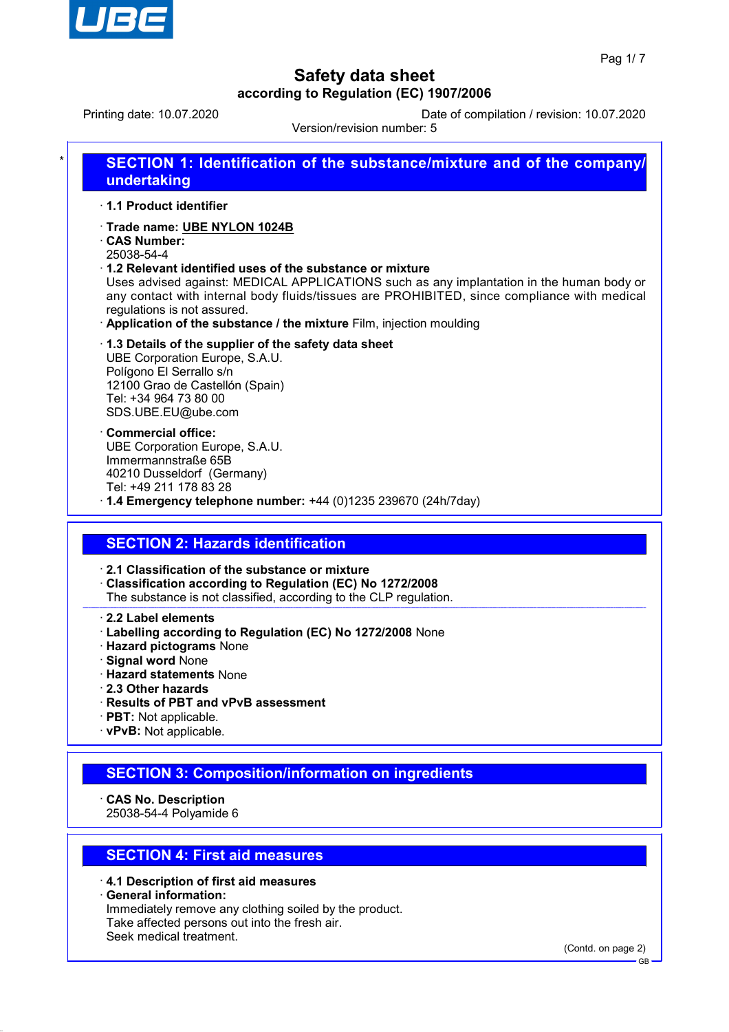

Printing date: 10.07.2020 Date of compilation / revision: 10.07.2020

Version/revision number: 5

| $\star$ | <b>SECTION 1: Identification of the substance/mixture and of the company/</b><br>undertaking                                                                                                                           |
|---------|------------------------------------------------------------------------------------------------------------------------------------------------------------------------------------------------------------------------|
|         | ⋅ 1.1 Product identifier                                                                                                                                                                                               |
|         | Trade name: UBE NYLON 1024B                                                                                                                                                                                            |
|         | <b>CAS Number:</b>                                                                                                                                                                                                     |
|         | 25038-54-4                                                                                                                                                                                                             |
|         | $\cdot$ 1.2 Relevant identified uses of the substance or mixture                                                                                                                                                       |
|         | Uses advised against: MEDICAL APPLICATIONS such as any implantation in the human body or<br>any contact with internal body fluids/tissues are PROHIBITED, since compliance with medical<br>regulations is not assured. |
|         | . Application of the substance / the mixture Film, injection moulding                                                                                                                                                  |
|         | 1.3 Details of the supplier of the safety data sheet<br>UBE Corporation Europe, S.A.U.                                                                                                                                 |

Polígono El Serrallo s/n 12100 Grao de Castellón (Spain) Tel: +34 964 73 80 00 SDS.UBE.EU@ube.com

· **Commercial office:** UBE Corporation Europe, S.A.U. Immermannstraße 65B 40210 Dusseldorf (Germany) Tel: +49 211 178 83 28

· **1.4 Emergency telephone number:** +44 (0)1235 239670 (24h/7day)

## **SECTION 2: Hazards identification**

· **2.1 Classification of the substance or mixture**

· **Classification according to Regulation (EC) No 1272/2008**

The substance is not classified, according to the CLP regulation.

· **2.2 Label elements**

- · **Labelling according to Regulation (EC) No 1272/2008** None
- · **Hazard pictograms** None
- · **Signal word** None
- · **Hazard statements** None
- · **2.3 Other hazards**
- · **Results of PBT and vPvB assessment**
- · **PBT:** Not applicable.
- · **vPvB:** Not applicable.

### **SECTION 3: Composition/information on ingredients**

· **CAS No. Description**

25038-54-4 Polyamide 6

## **SECTION 4: First aid measures**

· **4.1 Description of first aid measures** · **General information:** Immediately remove any clothing soiled by the product. Take affected persons out into the fresh air. Seek medical treatment.

(Contd. on page 2)

GB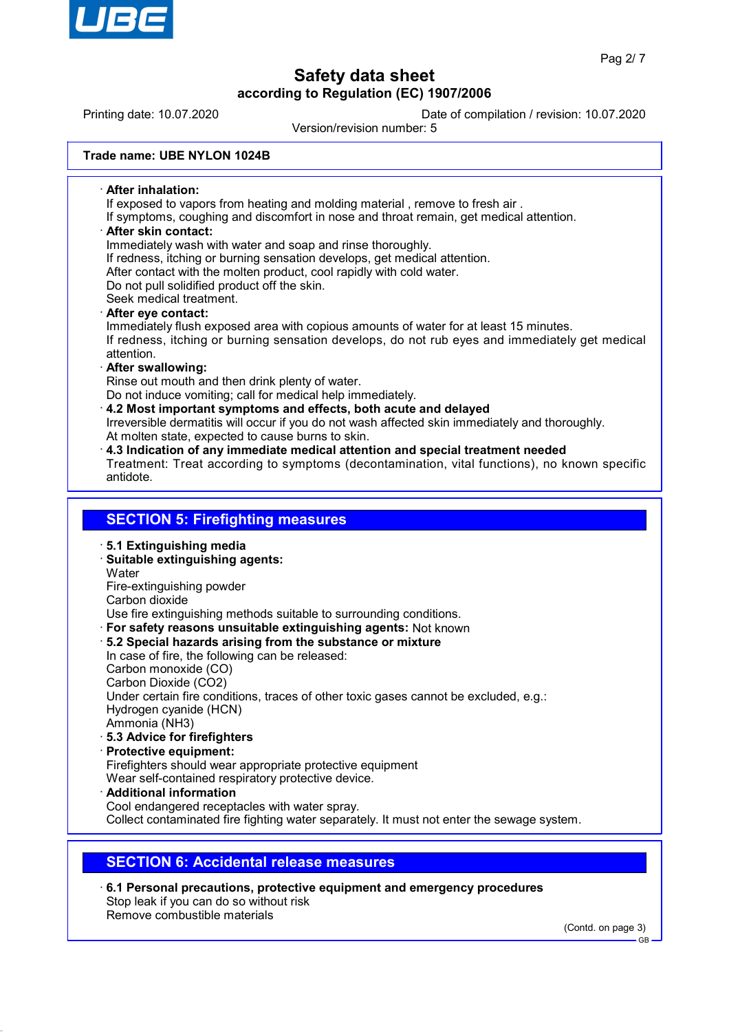

Printing date: 10.07.2020 Date of compilation / revision: 10.07.2020 Version/revision number: 5 **Trade name: UBE NYLON 1024B** · **After inhalation:** If exposed to vapors from heating and molding material , remove to fresh air . If symptoms, coughing and discomfort in nose and throat remain, get medical attention. · **After skin contact:** Immediately wash with water and soap and rinse thoroughly. If redness, itching or burning sensation develops, get medical attention. After contact with the molten product, cool rapidly with cold water. Do not pull solidified product off the skin. Seek medical treatment. · **After eye contact:** Immediately flush exposed area with copious amounts of water for at least 15 minutes. If redness, itching or burning sensation develops, do not rub eyes and immediately get medical attention. · **After swallowing:** Rinse out mouth and then drink plenty of water. Do not induce vomiting; call for medical help immediately. · **4.2 Most important symptoms and effects, both acute and delayed** Irreversible dermatitis will occur if you do not wash affected skin immediately and thoroughly. At molten state, expected to cause burns to skin. · **4.3 Indication of any immediate medical attention and special treatment needed** Treatment: Treat according to symptoms (decontamination, vital functions), no known specific antidote. **SECTION 5: Firefighting measures** · **5.1 Extinguishing media** · **Suitable extinguishing agents: Water** Fire-extinguishing powder Carbon dioxide Use fire extinguishing methods suitable to surrounding conditions. · **For safety reasons unsuitable extinguishing agents:** Not known · **5.2 Special hazards arising from the substance or mixture** In case of fire, the following can be released: Carbon monoxide (CO) Carbon Dioxide (CO2) Under certain fire conditions, traces of other toxic gases cannot be excluded, e.g.: Hydrogen cyanide (HCN) Ammonia (NH3) · **5.3 Advice for firefighters** · **Protective equipment:** Firefighters should wear appropriate protective equipment Wear self-contained respiratory protective device. · **Additional information** Cool endangered receptacles with water spray. Collect contaminated fire fighting water separately. It must not enter the sewage system.

## **SECTION 6: Accidental release measures**

· **6.1 Personal precautions, protective equipment and emergency procedures** Stop leak if you can do so without risk Remove combustible materials

(Contd. on page 3)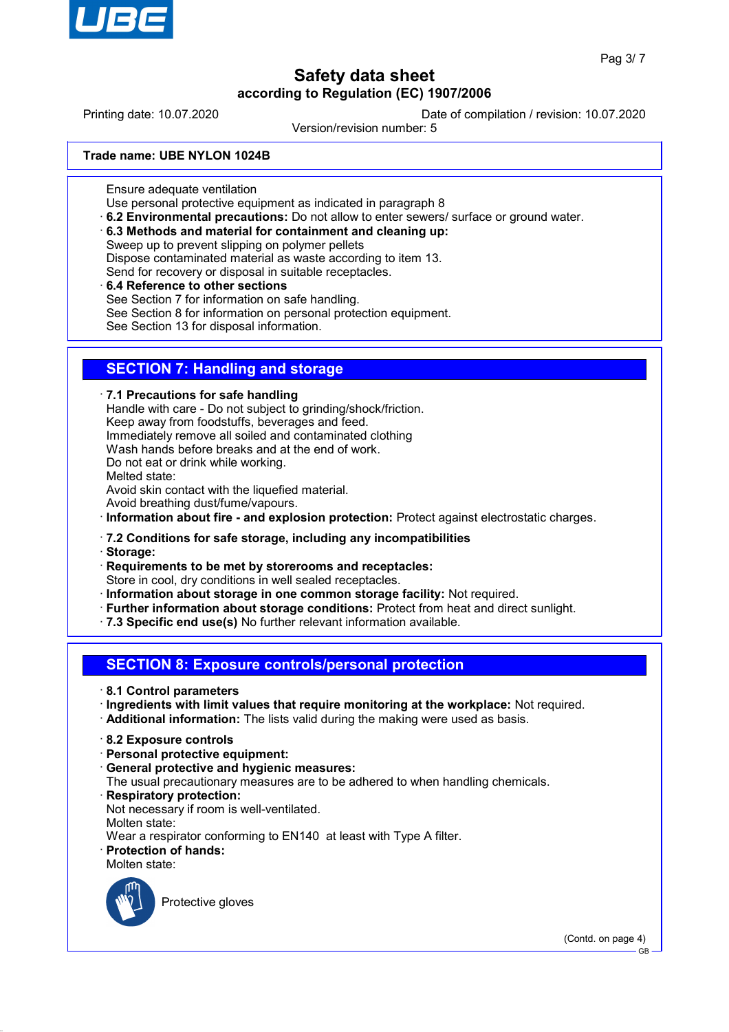

Printing date: 10.07.2020 Date of compilation / revision: 10.07.2020

Version/revision number: 5

**Trade name: UBE NYLON 1024B**

Ensure adequate ventilation

Use personal protective equipment as indicated in paragraph 8

· **6.2 Environmental precautions:** Do not allow to enter sewers/ surface or ground water.

· **6.3 Methods and material for containment and cleaning up:**

Sweep up to prevent slipping on polymer pellets Dispose contaminated material as waste according to item 13. Send for recovery or disposal in suitable receptacles.

· **6.4 Reference to other sections**

See Section 7 for information on safe handling.

See Section 8 for information on personal protection equipment.

See Section 13 for disposal information.

## **SECTION 7: Handling and storage**

· **7.1 Precautions for safe handling**

Handle with care - Do not subject to grinding/shock/friction. Keep away from foodstuffs, beverages and feed. Immediately remove all soiled and contaminated clothing Wash hands before breaks and at the end of work. Do not eat or drink while working. Melted state: Avoid skin contact with the liquefied material. Avoid breathing dust/fume/vapours.

· **Information about fire - and explosion protection:** Protect against electrostatic charges.

### · **7.2 Conditions for safe storage, including any incompatibilities**

· **Storage:**

· **Requirements to be met by storerooms and receptacles:**

Store in cool, dry conditions in well sealed receptacles.

- · **Information about storage in one common storage facility:** Not required.
- · **Further information about storage conditions:** Protect from heat and direct sunlight.
- · **7.3 Specific end use(s)** No further relevant information available.

**SECTION 8: Exposure controls/personal protection**

- · **8.1 Control parameters**
- · **Ingredients with limit values that require monitoring at the workplace:** Not required.
- · **Additional information:** The lists valid during the making were used as basis.
- · **8.2 Exposure controls**
- · **Personal protective equipment:**
- · **General protective and hygienic measures:**
- The usual precautionary measures are to be adhered to when handling chemicals.
- · **Respiratory protection:**
- Not necessary if room is well-ventilated.
- Molten state:

Wear a respirator conforming to EN140 at least with Type A filter.

- · **Protection of hands:**
- Molten state:



Protective gloves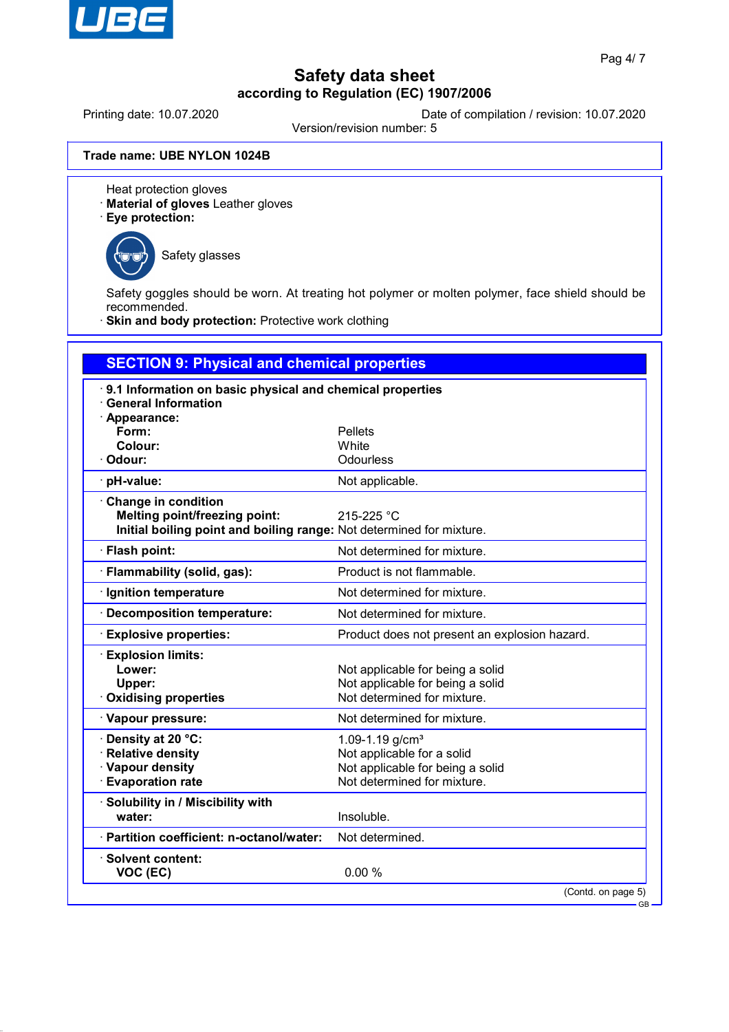

Printing date: 10.07.2020 Date of compilation / revision: 10.07.2020

Version/revision number: 5

**Trade name: UBE NYLON 1024B**

Heat protection gloves

· **Material of gloves** Leather gloves

· **Eye protection:**



Safety glasses

Safety goggles should be worn. At treating hot polymer or molten polymer, face shield should be recommended.

**Skin and body protection: Protective work clothing** 

| <b>SECTION 9: Physical and chemical properties</b>                                                                                  |                                                                                                                    |  |  |
|-------------------------------------------------------------------------------------------------------------------------------------|--------------------------------------------------------------------------------------------------------------------|--|--|
| 9.1 Information on basic physical and chemical properties<br><b>General Information</b><br>· Appearance:                            |                                                                                                                    |  |  |
| Form:                                                                                                                               | <b>Pellets</b>                                                                                                     |  |  |
| Colour:                                                                                                                             | White                                                                                                              |  |  |
| · Odour:                                                                                                                            | Odourless                                                                                                          |  |  |
| · pH-value:                                                                                                                         | Not applicable.                                                                                                    |  |  |
| Change in condition<br><b>Melting point/freezing point:</b><br>Initial boiling point and boiling range: Not determined for mixture. | 215-225 °C                                                                                                         |  |  |
| · Flash point:                                                                                                                      | Not determined for mixture.                                                                                        |  |  |
| · Flammability (solid, gas):                                                                                                        | Product is not flammable.                                                                                          |  |  |
| · Ignition temperature                                                                                                              | Not determined for mixture.                                                                                        |  |  |
| · Decomposition temperature:                                                                                                        | Not determined for mixture.                                                                                        |  |  |
| <b>Explosive properties:</b>                                                                                                        | Product does not present an explosion hazard.                                                                      |  |  |
| <b>Explosion limits:</b><br>Lower:<br>Upper:<br>Oxidising properties                                                                | Not applicable for being a solid<br>Not applicable for being a solid<br>Not determined for mixture.                |  |  |
| · Vapour pressure:                                                                                                                  | Not determined for mixture.                                                                                        |  |  |
| · Density at 20 °C:<br>· Relative density<br>· Vapour density<br>· Evaporation rate                                                 | 1.09-1.19 $g/cm3$<br>Not applicable for a solid<br>Not applicable for being a solid<br>Not determined for mixture. |  |  |
| · Solubility in / Miscibility with<br>water:                                                                                        | Insoluble.                                                                                                         |  |  |
| · Partition coefficient: n-octanol/water:                                                                                           | Not determined.                                                                                                    |  |  |
| · Solvent content:<br>VOC (EC)                                                                                                      | 0.00%<br>(Contd. on page 5)                                                                                        |  |  |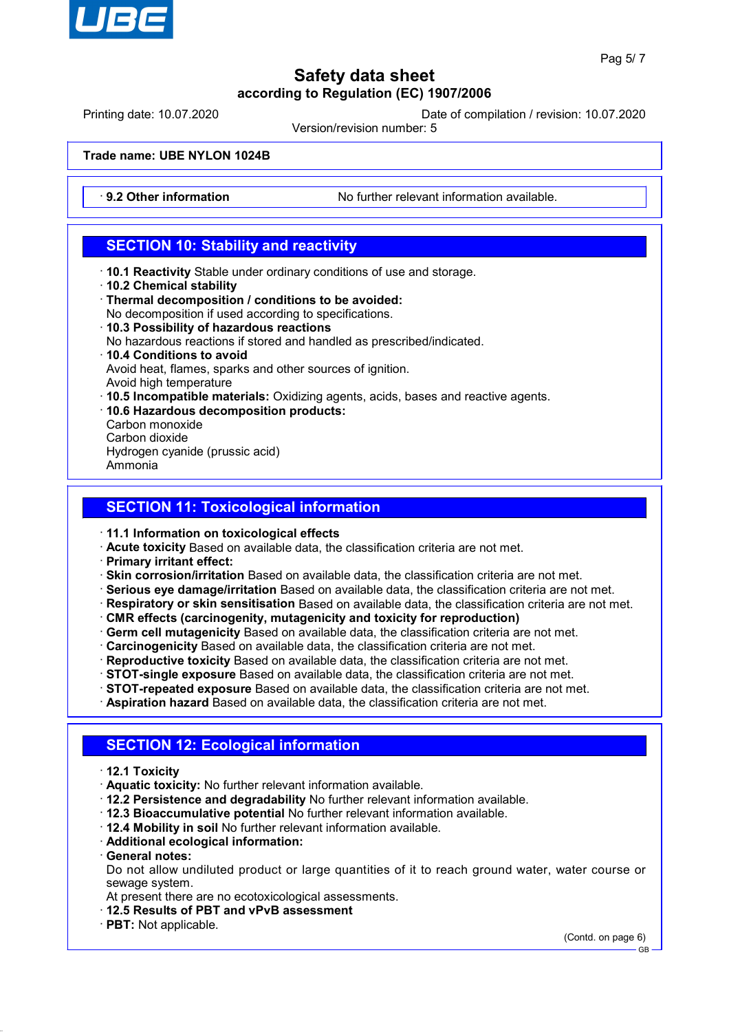

Printing date: 10.07.2020 Date of compilation / revision: 10.07.2020

Version/revision number: 5

**Trade name: UBE NYLON 1024B**

**9.2 Other information** No further relevant information available.

## **SECTION 10: Stability and reactivity**

- · **10.1 Reactivity** Stable under ordinary conditions of use and storage.
- · **10.2 Chemical stability**
- · **Thermal decomposition / conditions to be avoided:**
- No decomposition if used according to specifications. · **10.3 Possibility of hazardous reactions**
- No hazardous reactions if stored and handled as prescribed/indicated.
- · **10.4 Conditions to avoid**
- Avoid heat, flames, sparks and other sources of ignition.
- Avoid high temperature
- · **10.5 Incompatible materials:** Oxidizing agents, acids, bases and reactive agents.
- · **10.6 Hazardous decomposition products:**
- Carbon monoxide
- Carbon dioxide
- Hydrogen cyanide (prussic acid)
- Ammonia

## **SECTION 11: Toxicological information**

- · **11.1 Information on toxicological effects**
- · **Acute toxicity** Based on available data, the classification criteria are not met.
- · **Primary irritant effect:**
- · **Skin corrosion/irritation** Based on available data, the classification criteria are not met.
- · **Serious eye damage/irritation** Based on available data, the classification criteria are not met.
- · **Respiratory or skin sensitisation** Based on available data, the classification criteria are not met.
- · **CMR effects (carcinogenity, mutagenicity and toxicity for reproduction)**
- · **Germ cell mutagenicity** Based on available data, the classification criteria are not met.
- · **Carcinogenicity** Based on available data, the classification criteria are not met.
- · **Reproductive toxicity** Based on available data, the classification criteria are not met.
- · **STOT-single exposure** Based on available data, the classification criteria are not met.
- · **STOT-repeated exposure** Based on available data, the classification criteria are not met.
- · **Aspiration hazard** Based on available data, the classification criteria are not met.

## **SECTION 12: Ecological information**

- · **12.1 Toxicity**
- · **Aquatic toxicity:** No further relevant information available.
- · **12.2 Persistence and degradability** No further relevant information available.
- · **12.3 Bioaccumulative potential** No further relevant information available.
- · **12.4 Mobility in soil** No further relevant information available.
- · **Additional ecological information:**
- · **General notes:**

Do not allow undiluted product or large quantities of it to reach ground water, water course or sewage system.

At present there are no ecotoxicological assessments.

- · **12.5 Results of PBT and vPvB assessment**
- · **PBT:** Not applicable.

(Contd. on page 6)

GB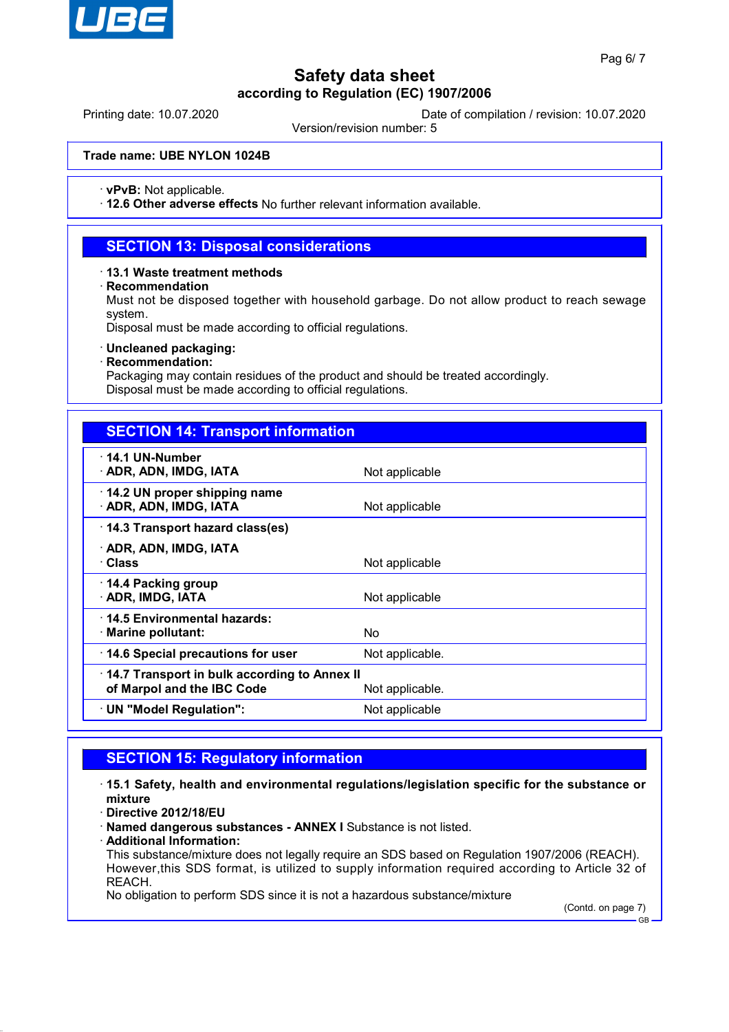

Printing date: 10.07.2020 Date of compilation / revision: 10.07.2020

Version/revision number: 5

### **Trade name: UBE NYLON 1024B**

· **vPvB:** Not applicable.

· **12.6 Other adverse effects** No further relevant information available.

### **SECTION 13: Disposal considerations**

#### · **13.1 Waste treatment methods**

#### · **Recommendation**

Must not be disposed together with household garbage. Do not allow product to reach sewage system.

Disposal must be made according to official regulations.

#### · **Uncleaned packaging:**

#### · **Recommendation:**

Packaging may contain residues of the product and should be treated accordingly. Disposal must be made according to official regulations.

| <b>SECTION 14: Transport information</b>                                   |                 |  |
|----------------------------------------------------------------------------|-----------------|--|
| · 14.1 UN-Number<br>· ADR, ADN, IMDG, IATA                                 | Not applicable  |  |
| 14.2 UN proper shipping name<br>· ADR, ADN, IMDG, IATA                     | Not applicable  |  |
| 14.3 Transport hazard class(es)                                            |                 |  |
| · ADR, ADN, IMDG, IATA<br>· Class                                          | Not applicable  |  |
| $\cdot$ 14.4 Packing group<br>· ADR, IMDG, IATA                            | Not applicable  |  |
| 14.5 Environmental hazards:<br>$\cdot$ Marine pollutant:                   | No.             |  |
| 14.6 Special precautions for user                                          | Not applicable. |  |
| 14.7 Transport in bulk according to Annex II<br>of Marpol and the IBC Code | Not applicable. |  |
| $\cdot$ UN "Model Regulation":                                             | Not applicable  |  |

## **SECTION 15: Regulatory information**

· **15.1 Safety, health and environmental regulations/legislation specific for the substance or mixture**

· **Directive 2012/18/EU**

· **Named dangerous substances - ANNEX I** Substance is not listed.

· **Additional Information:**

This substance/mixture does not legally require an SDS based on Regulation 1907/2006 (REACH). However,this SDS format, is utilized to supply information required according to Article 32 of REACH.

No obligation to perform SDS since it is not a hazardous substance/mixture

(Contd. on page 7)

GB